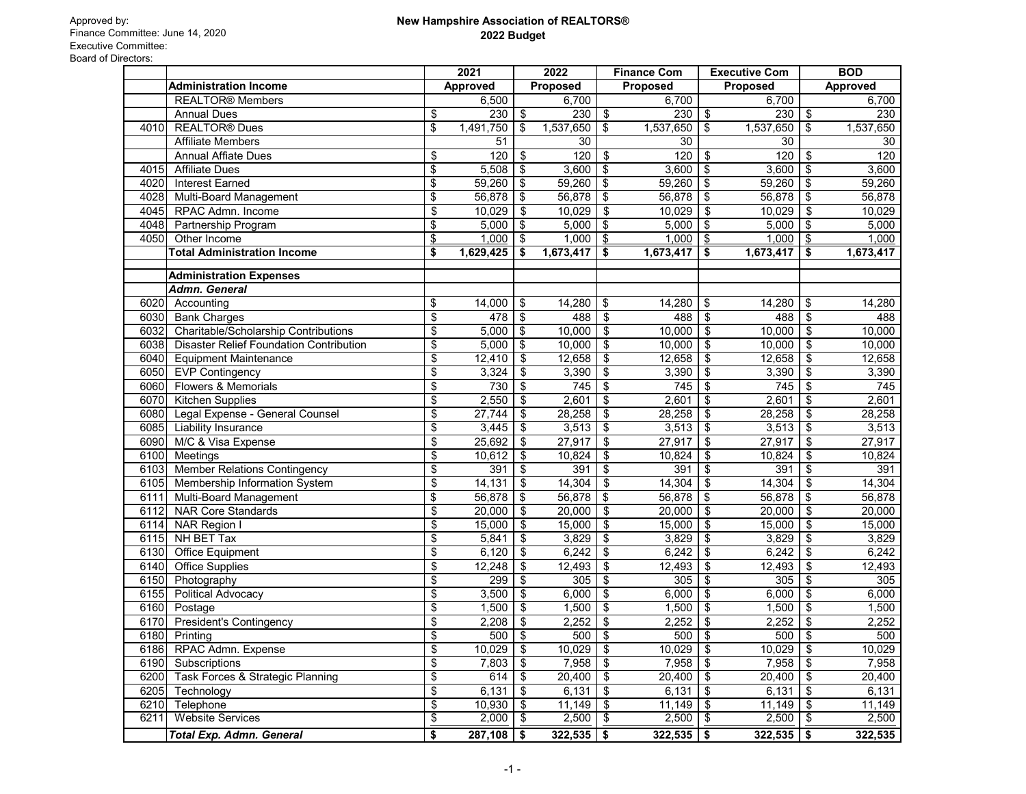|                                                        | 2021            |           | 2022                       |           | <b>Finance Com</b>        |           | <b>Executive Com</b>       |              |                            | <b>BOD</b>      |
|--------------------------------------------------------|-----------------|-----------|----------------------------|-----------|---------------------------|-----------|----------------------------|--------------|----------------------------|-----------------|
| <b>Administration Income</b>                           | <b>Approved</b> |           | <b>Proposed</b>            |           | <b>Proposed</b>           |           | Proposed                   |              |                            | <b>Approved</b> |
| <b>REALTOR® Members</b>                                |                 | 6,500     |                            | 6,700     |                           | 6,700     |                            | 6,700        |                            | 6,700           |
| <b>Annual Dues</b>                                     | \$              | 230       | \$                         | 230       | \$                        | 230       | $\sqrt[6]{3}$              | $230  $ \$   |                            | 230             |
| <b>REALTOR®</b> Dues<br>4010                           | \$              | 1,491,750 | \$                         | 1,537,650 | $\boldsymbol{\mathsf{s}}$ | 1,537,650 | $\$\$                      | 1,537,650    | \$                         | 1,537,650       |
| <b>Affiliate Members</b>                               |                 | 51        |                            | 30        |                           | 30        |                            | 30           |                            | 30              |
| <b>Annual Affiate Dues</b>                             | \$              | 120       | $\boldsymbol{\mathsf{S}}$  | 120       | \$                        | 120       | \$                         | 120          | $\boldsymbol{\mathsf{S}}$  | 120             |
| 4015<br><b>Affiliate Dues</b>                          | \$              | 5,508     | \$                         | 3,600     | \$                        | 3,600     | \$                         | 3,600        | $\sqrt[6]{3}$              | 3,600           |
| <b>Interest Earned</b><br>4020                         | \$              | 59,260    | \$                         | 59,260    | \$                        | 59,260    | $\boldsymbol{\mathsf{S}}$  | 59,260       | $\frac{3}{2}$              | 59,260          |
| 4028<br>Multi-Board Management                         | \$              | 56,878    | \$                         | 56,878    | $\boldsymbol{\mathsf{S}}$ | 56,878    | $\boldsymbol{\mathsf{\$}}$ | 56,878       | $\sqrt[6]{3}$              | 56,878          |
| 4045<br>RPAC Admn. Income                              | \$              | 10,029    | \$                         | 10,029    | \$                        | 10,029    | \$                         | 10,029       | $\boldsymbol{\mathsf{\$}}$ | 10,029          |
| 4048<br>Partnership Program                            | \$              | 5,000     | \$                         | 5,000     | \$                        | 5,000     | \$                         | 5,000        | \$                         | 5,000           |
| Other Income<br>4050                                   | \$              | 1,000     | \$                         | 1,000     | \$                        | 1,000     | \$                         | 1,000        | \$                         | 1,000           |
| <b>Total Administration Income</b>                     | \$              | 1,629,425 | \$                         | 1,673,417 | \$                        | 1,673,417 | \$                         | 1,673,417    | \$                         | 1,673,417       |
| <b>Administration Expenses</b>                         |                 |           |                            |           |                           |           |                            |              |                            |                 |
| <b>Admn. General</b>                                   |                 |           |                            |           |                           |           |                            |              |                            |                 |
| 6020<br>Accounting                                     | \$              | 14,000    | \$                         | 14,280    | \$                        | 14,280    | \$                         | 14,280       | \$                         | 14,280          |
| 6030<br><b>Bank Charges</b>                            | \$              | 478       | $\frac{1}{2}$              | 488       | \$                        | 488       | \$                         | 488          | $\boldsymbol{\mathsf{\$}}$ | 488             |
| Charitable/Scholarship Contributions<br>6032           | \$              | 5,000     | \$                         | 10,000    | \$                        | 10,000    | \$                         | 10,000       | $\boldsymbol{\mathsf{S}}$  | 10,000          |
| 6038<br><b>Disaster Relief Foundation Contribution</b> | \$              | 5,000     | \$                         | 10,000    | \$                        | 10,000    | \$                         | 10,000       | $\boldsymbol{\mathsf{S}}$  | 10,000          |
| 6040<br><b>Equipment Maintenance</b>                   | \$              | 12,410    | \$                         | 12,658    | \$                        | 12,658    | \$                         | 12,658       | $\boldsymbol{\mathsf{s}}$  | 12,658          |
| 6050<br><b>EVP Contingency</b>                         | \$              | 3,324     | $\boldsymbol{\mathsf{S}}$  | 3,390     | \$                        | 3,390     | \$                         | 3,390        | $\boldsymbol{\mathsf{\$}}$ | 3,390           |
| Flowers & Memorials<br>6060                            | \$              | 730       | \$                         | 745       | \$                        | 745       | \$                         | 745          | $\boldsymbol{\mathsf{S}}$  | 745             |
| <b>Kitchen Supplies</b><br>6070                        | \$              | 2,550     | \$                         | 2,601     | \$                        | 2,601     | \$                         | 2,601        | $\boldsymbol{\mathsf{S}}$  | 2,601           |
| 6080<br>Legal Expense - General Counsel                | \$              | 27,744    | $\frac{1}{2}$              | 28,258    | \$                        | 28,258    | \$                         | 28,258       | $\boldsymbol{\theta}$      | 28,258          |
| 6085<br>Liability Insurance                            | \$              | 3,445     | $\boldsymbol{\mathsf{\$}}$ | 3,513     | \$                        | 3,513     | \$                         | 3,513        | $\boldsymbol{\mathsf{S}}$  | 3,513           |
| 6090<br>M/C & Visa Expense                             | \$              | 25,692    | \$                         | 27,917    | \$                        | 27,917    | \$                         | 27,917       | $\frac{1}{2}$              | 27,917          |
| 6100<br>Meetings                                       | \$              | 10,612    | $\frac{1}{2}$              | 10,824    | \$                        | 10,824    | \$                         | 10,824       | $\boldsymbol{\theta}$      | 10,824          |
| Member Relations Contingency<br>6103                   | \$              | 391       | \$                         | 391       | \$                        | 391       | \$                         | 391          | \$                         | 391             |
| 6105<br>Membership Information System                  | \$              | 14,131    | $\boldsymbol{\mathsf{S}}$  | 14,304    | \$                        | 14,304    | \$                         | 14,304       | \$                         | 14,304          |
| Multi-Board Management<br>6111                         | \$              | 56,878    | \$                         | 56,878    | \$                        | 56,878    | $\boldsymbol{\mathsf{S}}$  | 56,878       | \$                         | 56,878          |
| <b>NAR Core Standards</b><br>6112                      | \$              | 20,000    | \$                         | 20,000    | \$                        | 20,000    | $\boldsymbol{\mathsf{S}}$  | 20,000       | \$                         | 20,000          |
| 6114<br><b>NAR Region I</b>                            | \$              | 15,000    | $\boldsymbol{\mathsf{S}}$  | 15,000    | \$                        | 15,000    | $\boldsymbol{\mathsf{S}}$  | 15,000       | $\boldsymbol{\mathsf{\$}}$ | 15,000          |
| 6115<br>NH BET Tax                                     | \$              | 5,841     | \$                         | 3,829     | \$                        | 3,829     | \$                         | 3,829        | $\boldsymbol{\mathsf{\$}}$ | 3,829           |
| 6130<br><b>Office Equipment</b>                        | \$              | 6,120     | $\boldsymbol{\mathsf{S}}$  | 6,242     | \$                        | 6,242     | $\frac{1}{2}$              | 6,242        | $\sqrt[6]{3}$              | 6,242           |
| <b>Office Supplies</b><br>6140                         | \$              | 12,248    | \$                         | 12,493    | \$                        | 12,493    | \$                         | 12,493       | $\boldsymbol{\theta}$      | 12,493          |
| 6150<br>Photography                                    | \$              | 299       | \$                         | 305       | \$                        | 305       | \$                         | 305          | $\boldsymbol{\mathsf{s}}$  | 305             |
| 6155<br><b>Political Advocacy</b>                      | \$              | 3,500     | \$                         | 6,000     | \$                        | 6,000     | \$                         | $6,000$ \$   |                            | 6,000           |
| 6160<br>Postage                                        | \$              | 1,500     | \$                         | 1,500     | \$                        | 1,500     | \$                         | $1,500$ \$   |                            | 1,500           |
| <b>President's Contingency</b><br>6170                 | \$              | 2,208     | \$                         | 2,252     | \$                        | 2,252     | \$                         | $2,252$ \$   |                            | 2,252           |
| 6180<br>Printing                                       | \$              | 500       | \$                         | 500       | \$                        | 500       | \$                         | 500          | \$                         | 500             |
| 6186<br>RPAC Admn. Expense                             | \$              | 10,029    | \$                         | 10,029    | \$                        | 10,029    | \$                         | 10,029       | \$                         | 10,029          |
| 6190<br>Subscriptions                                  | \$              | 7,803     | \$                         | 7,958     | \$                        | 7,958     | \$                         | 7,958        | \$                         | 7,958           |
| Task Forces & Strategic Planning<br>6200               | \$              | 614       | \$                         | 20,400    | \$                        | 20,400    | \$                         | $20,400$ \$  |                            | 20,400          |
| 6205<br>Technology                                     | \$              | 6,131     | \$                         | 6,131     | \$                        | 6,131     | \$                         | $6,131$ \$   |                            | 6,131           |
| 6210<br>Telephone                                      | \$              | 10,930    |                            | 11,149    | \$                        | 11,149    | \$                         | 11,149       | $\frac{1}{2}$              | 11,149          |
| 6211<br><b>Website Services</b>                        | \$              | 2,000     | \$                         | 2,500     | \$                        | 2,500     | \$                         | 2,500        | \$                         | 2,500           |
| <b>Total Exp. Admn. General</b>                        | \$              | 287,108   | \$                         | 322,535   | \$                        | 322,535   | \$                         | $322,535$ \$ |                            | 322,535         |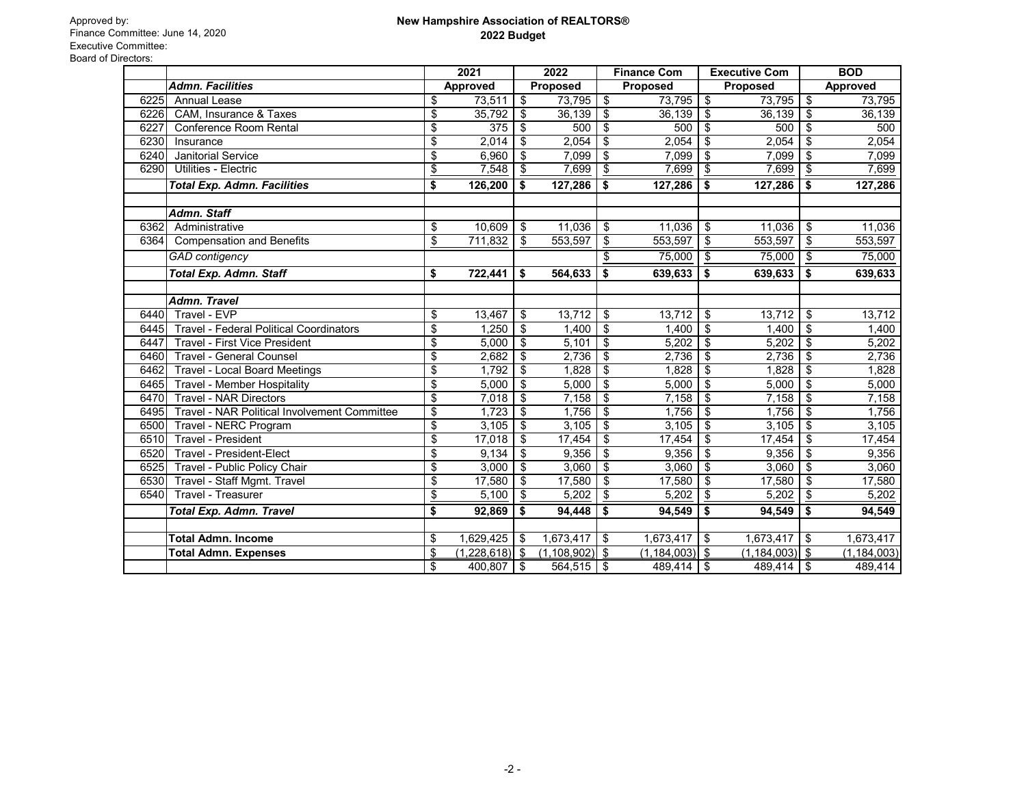|      |                                                | 2021                  |                            | 2022            |                            | <b>Finance Com</b> | <b>Executive Com</b> |                            | <b>BOD</b>      |
|------|------------------------------------------------|-----------------------|----------------------------|-----------------|----------------------------|--------------------|----------------------|----------------------------|-----------------|
|      | <b>Admn. Facilities</b>                        | <b>Approved</b>       |                            | <b>Proposed</b> |                            | <b>Proposed</b>    | Proposed             |                            | <b>Approved</b> |
| 6225 | <b>Annual Lease</b>                            | \$<br>73,511          | $\boldsymbol{\mathsf{S}}$  | 73,795          | $\boldsymbol{\mathsf{S}}$  | 73,795             | \$<br>73,795         | \$                         | 73,795          |
| 6226 | CAM, Insurance & Taxes                         | \$<br>35,792          | \$                         | 36,139          | $\frac{1}{2}$              | 36,139             | \$<br>36,139         | \$                         | 36,139          |
| 6227 | <b>Conference Room Rental</b>                  | \$<br>375             | \$                         | 500             | $\boldsymbol{\mathsf{\$}}$ | 500                | \$<br>500            | \$                         | 500             |
| 6230 | Insurance                                      | \$<br>2,014           | \$                         | 2,054           | \$                         | 2,054              | \$<br>2,054          | \$                         | 2,054           |
| 6240 | <b>Janitorial Service</b>                      | \$<br>6,960           | \$                         | 7,099           | \$                         | 7,099              | \$<br>7,099          | \$                         | 7,099           |
| 6290 | Utilities - Electric                           | \$<br>7,548           | $\frac{1}{2}$              | 7,699           | \$                         | 7,699              | \$<br>7,699          | \$                         | 7,699           |
|      | <b>Total Exp. Admn. Facilities</b>             | \$<br>126,200         | \$                         | 127,286         | \$                         | 127,286            | \$<br>127,286        | \$                         | 127,286         |
|      | Admn. Staff                                    |                       |                            |                 |                            |                    |                      |                            |                 |
| 6362 | Administrative                                 | \$<br>10,609          | \$                         | 11,036          | $\frac{1}{2}$              | 11,036             | \$<br>11,036         | \$                         | 11,036          |
| 6364 | <b>Compensation and Benefits</b>               | \$<br>711,832         | $\frac{1}{2}$              | 553,597         | \$                         | 553,597            | \$<br>553,597        | \$                         | 553,597         |
|      | <b>GAD</b> contigency                          |                       |                            |                 | \$                         | 75,000             | \$<br>75,000         | \$                         | 75,000          |
|      | <b>Total Exp. Admn. Staff</b>                  | \$<br>722,441         | \$                         | 564,633         | \$                         | 639,633            | \$<br>639,633        | \$                         | 639,633         |
|      | <b>Admn. Travel</b>                            |                       |                            |                 |                            |                    |                      |                            |                 |
| 6440 | Travel - EVP                                   | \$<br>13,467          | $\boldsymbol{\mathsf{\$}}$ | 13,712          | $\frac{1}{2}$              | 13,712             | \$<br>13,712         | \$                         | 13,712          |
| 6445 | <b>Travel - Federal Political Coordinators</b> | \$<br>1,250           | $\overline{\mathbf{3}}$    | 1,400           | \$                         | 1,400              | \$<br>1,400          | $\boldsymbol{\mathsf{\$}}$ | 1,400           |
| 6447 | Travel - First Vice President                  | \$<br>5,000           | $\sqrt[6]{3}$              | 5,101           | \$                         | 5,202              | \$<br>5,202          | $\boldsymbol{\mathsf{S}}$  | 5,202           |
| 6460 | <b>Travel - General Counsel</b>                | \$<br>2,682           | \$                         | 2,736           | $\boldsymbol{\mathsf{\$}}$ | 2,736              | \$<br>2,736          | $\boldsymbol{\mathsf{\$}}$ | 2,736           |
| 6462 | <b>Travel - Local Board Meetings</b>           | \$<br>1,792           | \$                         | 1,828           | $\boldsymbol{\theta}$      | 1,828              | \$<br>1,828          | \$                         | 1,828           |
| 6465 | <b>Travel - Member Hospitality</b>             | \$<br>5,000           | \$                         | 5,000           | \$                         | 5,000              | \$<br>5,000          | \$                         | 5,000           |
| 6470 | <b>Travel - NAR Directors</b>                  | \$<br>7,018           | $\sqrt[6]{3}$              | 7,158           | $\boldsymbol{\mathsf{\$}}$ | 7,158              | \$<br>7,158          | \$                         | 7,158           |
| 6495 | Travel - NAR Political Involvement Committee   | \$<br>1,723           | $\sqrt[6]{3}$              | 1,756           | \$                         | 1,756              | \$<br>1,756          | \$                         | 1,756           |
| 6500 | Travel - NERC Program                          | \$<br>3,105           | $\sqrt[6]{3}$              | 3,105           | $\boldsymbol{\mathsf{\$}}$ | 3,105              | \$<br>3,105          | \$                         | 3,105           |
| 6510 | <b>Travel - President</b>                      | \$<br>17,018          | \$                         | 17,454          | $\frac{1}{2}$              | 17,454             | \$<br>17,454         | \$                         | 17,454          |
| 6520 | Travel - President-Elect                       | \$<br>9,134           | \$                         | 9,356           | \$                         | 9,356              | \$<br>9,356          | \$                         | 9,356           |
| 6525 | Travel - Public Policy Chair                   | \$<br>3,000           | \$                         | 3,060           | $\boldsymbol{\theta}$      | 3,060              | \$<br>3,060          | \$                         | 3,060           |
| 6530 | Travel - Staff Mgmt. Travel                    | \$<br>17,580          | \$                         | 17,580          | $\frac{1}{2}$              | 17,580             | \$<br>17,580         | \$                         | 17,580          |
| 6540 | <b>Travel - Treasurer</b>                      | \$<br>5,100           | \$                         | 5,202           | $\boldsymbol{\theta}$      | 5,202              | \$<br>5,202          | $\overline{\mathbf{e}}$    | 5,202           |
|      | <b>Total Exp. Admn. Travel</b>                 | \$<br>92,869          | \$                         | 94,448          | \$                         | 94,549             | \$<br>94,549         | \$                         | 94,549          |
|      | <b>Total Admn. Income</b>                      | \$<br>1,629,425       | \$                         | 1,673,417       | \$                         | 1,673,417          | \$<br>1,673,417      | \$                         | 1,673,417       |
|      | <b>Total Admn. Expenses</b>                    | \$<br>(1,228,618)  \$ |                            | (1, 108, 902)   | $\boldsymbol{\mathsf{s}}$  | (1, 184, 003)      | \$<br>(1, 184, 003)  | \$                         | (1, 184, 003)   |
|      |                                                | \$<br>400,807         | \$                         | 564,515         | \$                         | 489,414            | \$<br>489,414        | $\sqrt[6]{2}$              | 489,414         |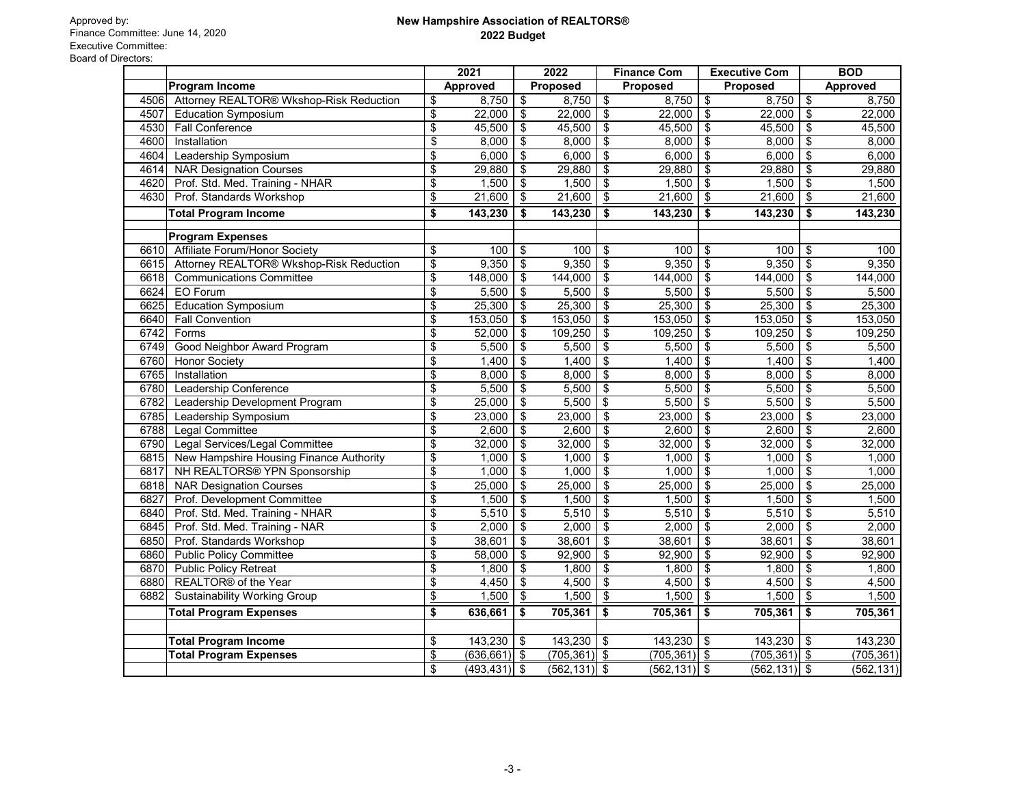|      |                                          | 2021             |                     | 2022                       |                 | <b>Finance Com</b> |                 | <b>Executive Com</b>      |                 |               | <b>BOD</b>      |
|------|------------------------------------------|------------------|---------------------|----------------------------|-----------------|--------------------|-----------------|---------------------------|-----------------|---------------|-----------------|
|      | <b>Program Income</b>                    |                  | <b>Approved</b>     |                            | <b>Proposed</b> |                    | <b>Proposed</b> |                           | <b>Proposed</b> |               | <b>Approved</b> |
| 4506 | Attorney REALTOR® Wkshop-Risk Reduction  | \$               | 8,750               | \$                         | 8,750           | \$                 | 8,750           | \$                        | 8,750           | \$            | 8,750           |
| 4507 | <b>Education Symposium</b>               | \$               | 22,000              | \$                         | 22,000          | \$                 | 22,000          | \$                        | 22,000          | \$            | 22,000          |
| 4530 | <b>Fall Conference</b>                   | \$               | 45,500              | \$                         | 45,500          | \$                 | 45,500          | \$                        | 45,500          | \$            | 45,500          |
| 4600 | Installation                             | \$               | 8,000               | \$                         | 8,000           | \$                 | 8,000           | \$                        | 8,000           | \$            | 8,000           |
| 4604 | Leadership Symposium                     | \$               | 6,000               | \$                         | 6,000           | \$                 | 6,000           | \$                        | 6,000           | \$            | 6,000           |
| 4614 | <b>NAR Designation Courses</b>           | \$               | 29,880              | \$                         | 29,880          | \$                 | 29,880          | \$                        | 29,880          | \$            | 29,880          |
| 4620 | Prof. Std. Med. Training - NHAR          | \$               | 1,500               | \$                         | 1,500           | \$                 | 1,500           | \$                        | 1,500           | \$            | 1,500           |
| 4630 | Prof. Standards Workshop                 | $\underline{\$}$ | 21,600              | \$                         | 21,600          | \$                 | 21,600          | $\boldsymbol{\theta}$     | 21,600          | $\frac{1}{2}$ | 21,600          |
|      | <b>Total Program Income</b>              | \$               | 143,230             | \$                         | 143,230         | \$                 | 143,230         | \$                        | 143,230         | \$            | 143,230         |
|      | <b>Program Expenses</b>                  |                  |                     |                            |                 |                    |                 |                           |                 |               |                 |
| 6610 | Affiliate Forum/Honor Society            | \$               | 100                 | \$                         | 100             | \$                 | 100             | \$                        | 100             | \$            | 100             |
| 6615 | Attorney REALTOR® Wkshop-Risk Reduction  | \$               | 9,350               | \$                         | 9,350           | \$                 | 9,350           | $\frac{1}{2}$             | 9,350           | \$            | 9,350           |
| 6618 | <b>Communications Committee</b>          | \$               | 148,000             | \$                         | 144,000         | $\frac{1}{2}$      | 144,000         | $\frac{1}{2}$             | 144,000         | \$            | 144,000         |
| 6624 | <b>EO</b> Forum                          | \$               | 5,500               | \$                         | 5,500           | \$                 | 5,500           | \$                        | 5,500           | \$            | 5,500           |
| 6625 | <b>Education Symposium</b>               | \$               | 25,300              | \$                         | 25,300          | \$                 | 25,300          | \$                        | 25,300          | \$            | 25,300          |
| 6640 | <b>Fall Convention</b>                   | \$               | 153,050             | \$                         | 153,050         | \$                 | 153,050         | \$                        | 153,050         | \$            | 153,050         |
| 6742 | Forms                                    | \$               | 52,000              | \$                         | 109,250         | \$                 | 109,250         | \$                        | 109,250         | \$            | 109,250         |
| 6749 | Good Neighbor Award Program              | \$               | 5,500               | \$                         | 5,500           | \$                 | 5,500           | \$                        | 5,500           | \$            | 5,500           |
| 6760 | <b>Honor Society</b>                     | \$               | 1,400               | \$                         | 1,400           | \$                 | 1,400           | \$                        | 1,400           | \$            | 1,400           |
| 6765 | Installation                             | \$               | 8,000               | \$                         | 8,000           | \$                 | 8,000           | \$                        | 8,000           | \$            | 8,000           |
| 6780 | Leadership Conference                    | \$               | 5,500               | \$                         | 5,500           | \$                 | 5,500           | \$                        | 5,500           | \$            | 5,500           |
| 6782 | Leadership Development Program           | \$               | 25,000              | $\frac{1}{2}$              | 5,500           | \$                 | 5,500           | \$                        | 5,500           | \$            | 5,500           |
| 6785 | Leadership Symposium                     | \$               | 23,000              | $\frac{1}{2}$              | 23,000          | \$                 | 23,000          | $\boldsymbol{\theta}$     | 23,000          | \$            | 23,000          |
| 6788 | <b>Legal Committee</b>                   | \$               | 2,600               | \$                         | 2,600           | \$                 | 2,600           | \$                        | 2,600           | \$            | 2,600           |
| 6790 | Legal Services/Legal Committee           | \$               | 32,000              | \$                         | 32,000          | \$                 | 32,000          | \$                        | 32,000          | \$            | 32,000          |
| 6815 | New Hampshire Housing Finance Authority  | \$               | 1,000               | \$                         | 1,000           | \$                 | 1,000           | \$                        | 1,000           | \$            | 1,000           |
| 6817 | NH REALTORS <sup>®</sup> YPN Sponsorship | \$               | 1,000               | \$                         | 1,000           | \$                 | 1,000           | \$                        | 1,000           | \$            | 1,000           |
| 6818 | <b>NAR Designation Courses</b>           | \$               | 25,000              | \$                         | 25,000          | \$                 | 25,000          | \$                        | 25,000          | \$            | 25,000          |
| 6827 | Prof. Development Committee              | \$               | 1,500               | \$                         | 1,500           | \$                 | 1,500           | \$                        | 1,500           | \$            | 1,500           |
| 6840 | Prof. Std. Med. Training - NHAR          | \$               | 5,510               | \$                         | 5,510           | \$                 | 5,510           | \$                        | 5,510           | \$            | 5,510           |
| 6845 | Prof. Std. Med. Training - NAR           | \$               | 2,000               | \$                         | 2,000           | \$                 | 2,000           | \$                        | 2,000           | \$            | 2,000           |
| 6850 | Prof. Standards Workshop                 | \$               | 38,601              | \$                         | 38,601          | \$                 | 38,601          | $\boldsymbol{\theta}$     | 38,601          | \$            | 38,601          |
| 6860 | <b>Public Policy Committee</b>           | \$               | 58,000              | \$                         | 92,900          | \$                 | 92,900          | $\boldsymbol{\mathsf{S}}$ | 92,900          | \$            | 92,900          |
| 6870 | <b>Public Policy Retreat</b>             | \$               | 1,800               | \$                         | 1,800           | \$                 | 1,800           | \$                        | 1,800           | \$            | 1,800           |
| 6880 | REALTOR <sup>®</sup> of the Year         | \$               | 4,450 $\frac{1}{3}$ |                            | 4,500           | - \$               | 4,500           | \$                        | 4,500           | \$            | 4,500           |
| 6882 | <b>Sustainability Working Group</b>      | $\frac{1}{2}$    | 1,500               | \$                         | 1,500           | \$                 | 1,500           | \$                        | 1,500           | \$            | 1,500           |
|      | <b>Total Program Expenses</b>            | \$               | 636,661             | \$                         | 705,361         | \$                 | 705,361         | \$                        | 705,361         | \$            | 705,361         |
|      |                                          |                  |                     |                            |                 |                    |                 |                           |                 |               |                 |
|      | <b>Total Program Income</b>              | \$               | 143,230             | $\boldsymbol{\mathsf{\$}}$ | 143,230         | $\sqrt[6]{3}$      | $143,230$   \$  |                           | 143,230         | \$            | 143,230         |
|      | <b>Total Program Expenses</b>            | $\frac{1}{2}$    | $(636, 661)$ \$     |                            | $(705, 361)$ \$ |                    | $(705, 361)$ \$ |                           | (705, 361)      | $\frac{1}{2}$ | (705, 361)      |
|      |                                          | \$               | $(493, 431)$ \$     |                            | $(562, 131)$ \$ |                    | (562,131)  \$   |                           | $(562, 131)$ \$ |               | (562, 131)      |